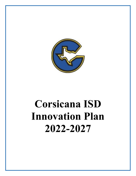

# **Corsicana ISD Innovation Plan 2022-2027**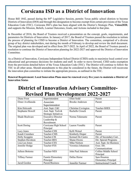# **Corsicana ISD as a District of Innovation**

House Bill 1842, passed during the 84th Legislative Session, permits Texas public school districts to become Districts of Innovation (DOI) and through this designation to become exempt from certain provisions of the Texas Education Code (TEC). Corsicana ISD's plan has been aligned with the District's Strategic Plan, **Vision2020**, and supports the Mission, Beliefs, Learner Outcomes, Goals, and Actions included in that plan.

In December of 2016, the Board of Trustees received a presentation on the concept, goals, requirements, and parameters for Districts of Innovation. In January of 2017, the Board of Trustees passed the resolution to initiate the process of planning for CISD to become a District of Innovation. The committee, comprised of a diverse group of key district stakeholders, met during the month of February to develop and review the draft document. The original plan was developed and in effect from 2017-2022. In April of 2022, the Board of Trustees passed a resolution to continue the District of Innovation planning for 2022-2027 and approved the District of Innovation Committee.

As a District of Innovation, Corsicana Independent School District (CISD) seeks to maximize local control over educational and governance decisions for students and staff. In order to move forward, CISD seeks exemption from the provisions detailed below of the Texas Education Code (TEC). The District will continue to follow the TEC in all other areas. Should amendments to this plan be considered in the future, the District will reconvene the innovation plan committee to initiate the appropriate process, as outlined in the TEC.

**Renewal Requirement: Local Innovation Plans must be renewed every five years to maintain a District of Innovation Status** 

# **District of Innovation Advisory Committee-Revised Plan Development 2022-2027**

| Diane Frost           | Superintendent               | Ellen Sodd                 | Parent                      |
|-----------------------|------------------------------|----------------------------|-----------------------------|
| Elmer Avellaneda      | Associate                    | <b>Brooke Anderson</b>     | Parent                      |
|                       | Superintendent               |                            |                             |
| Kim Holcomb           | Asst. Supt. C&I              | <b>Christine Covington</b> | Teacher-SHES                |
| Stephanie Howell      | Asst. Supt. Tech &           | Rachelle Crouch            | Parent                      |
|                       | <b>Strategic Initiatives</b> |                            |                             |
| Shade Boulware        | <b>Executive Director</b>    | Norma Talamante            | Parent                      |
|                       | Leadership &                 |                            |                             |
|                       | Recruitment                  |                            |                             |
| <b>Scott Doring</b>   | Corsicana High School        | Lauren Venable             | Parent                      |
|                       | Principal                    |                            |                             |
| Lucy Jones            | Teacher-CHS                  | Kelli Wetsel               | Parent                      |
| Kandi Crenshaw        | Teacher-CMS                  | Kimberly Draper            | Parent                      |
| Holly Scoggins        | Teacher-CIS                  | Kemuel De Castro           | Dir. of Secondary Curr.     |
| Stephen Davidson      | Teacher-BES                  | Shana Owens                | Dir. Special Programs       |
| Lisa Lee-Jones        | Teacher-CES                  | Mike Nielson               | Asst. Supt. for Business    |
| Jennifer Hodge        | Teacher-FES                  | Veronica Johannsen         | Exec. Dir.                  |
|                       |                              |                            | Communications              |
| Julleen Bottoms       | Teacher-NES                  | John Paul Johnson          | Collins Middle School       |
|                       |                              |                            | Principal                   |
| <b>Tiffany Farmer</b> | Fannin Elementary            | Dallas Horne               | Sam Houston                 |
|                       | Principal                    |                            | <b>Elementary Principal</b> |
| Jarod Gordon          | Parent/Business              | Jennifer Farmer            | <b>Instructional Coach</b>  |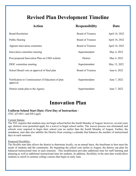# **Revised Plan Development Timeline**

| Action                                                        | <b>Responsibility</b>    | Date           |
|---------------------------------------------------------------|--------------------------|----------------|
| <b>Board Resolution</b>                                       | <b>Board of Trustees</b> | April 18, 2022 |
| Public Hearing                                                | <b>Board of Trustees</b> | April 18, 2022 |
| Appoint innovation committee                                  | <b>Board of Trustees</b> | April 18, 2022 |
| Innovation committee meeting                                  | Superintendent           | May 4, 2022    |
| Post proposed Innovation Plan on CISD website                 | District                 | May 4, 2022    |
| DEIC committee meeting                                        | Superintendent           | May 12, 2022   |
| School Board vote on approval of final plan                   | <b>Board of Trustees</b> | June 6, 2022   |
| Notification to Commissioner of Education of plan<br>approval | Superintendent           | June 7, 2022   |
| District sends plan to the Agency                             | Superintendent           | June 7, 2022   |

## **Innovation Plan**

## **Uniform School Start Date: First Day of Instruction -**

(TEC §25.0811 and EB Legal)

#### Current Statute:

The TEC requires that students may not begin school before the fourth Monday of August; however, several years ago, districts were permitted apply for a waiver to begin school earlier. The waiver process was eliminated, and schools were required to begin their school year no earlier than the fourth Monday of August. Further, the mandatory start date also inhibits the District from creating a calendar that balances the number of instructional days in each semester.

#### Proposed Flexibility:

The flexible start date allows the district to determine locally, on an annual basis, the timeframe to best meet the needs of students and the community. By beginning the school year earlier in August, the district can plan for balanced instructional time in each semester. This modification provides additional time for staff learning and planning as well as additional instructional time for students. In addition, flexibility in the start date would allow students to enroll in summer college courses that begin in early June.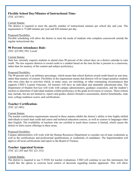#### **Flexible School Day/Minutes of Instructional Time-**

(TEC §25.081)

#### Current Statute:

The district is required to meet the specific number of instructional minutes per school day and year. The requirement is 75,600 minutes per year and 420 minutes per day.

#### Proposed Flexibility:

Flexible scheduling will allow the district to meet the needs of students who complete coursework outside the regular instructional day.

## **90 Percent Attendance Rule-**

(TEC §25.092; FEC Local)

#### Current Statute:

State law currently requires students to attend class 90 percent of the school days on a district calendar to earn credit. The law requires districts to award credit to a student based on the time he/she is present in a classroom, rather than for mastery of the content and subject proficiency.

#### Proposed Flexibility:

The 90 percent rule is an arbitrary percentage, which means that school districts award credit based on seat time, rather than mastery of content. Flexibility in the requirement means that districts will no longer penalize students who miss class due to activities which, in many cases, are enriching, or other extenuating circumstances that supports CISD's Learner Outcome: All learners will have an individual and attainable educational plan. The Department of Student Services will work with campus administrators, guidance counselors, and the student's teachers to determine if individual students exhibit proficiency in the grade level/course or courses. These criteria may include, but are not limited to, report card grades, district formative assessments, district benchmarks, state tests, college-readiness scores, and certifications.

## **Teacher Certification-**

(TEC §21.003)

#### Current Statute:

The teacher certification requirements enacted in these statutes inhibit the district's ability to hire highly-skilled individuals to teach dual credit and career and technical education courses, as well as courses in languages other than English. The availability of teachers who are certified to teach these courses is limited, which causes the district to limit course offerings in these areas.

#### Proposed Flexibility:

Campus administrators will work with the Human Resources Department to consider out-of-state credentials as well as the certifications and professional qualifications or credentials of candidates. The Superintendent will approve all local certifications and report to the Board of Trustees.

## **Teacher Appraisal System-**

(TEC §21.203 and TEC §21.352)

#### Current Statute:

The district is required to use T-TESS for teacher evaluations. CISD will continue to use this instrument, but would like the option to exercise local control of decisions regarding teacher appraisals. This will allow